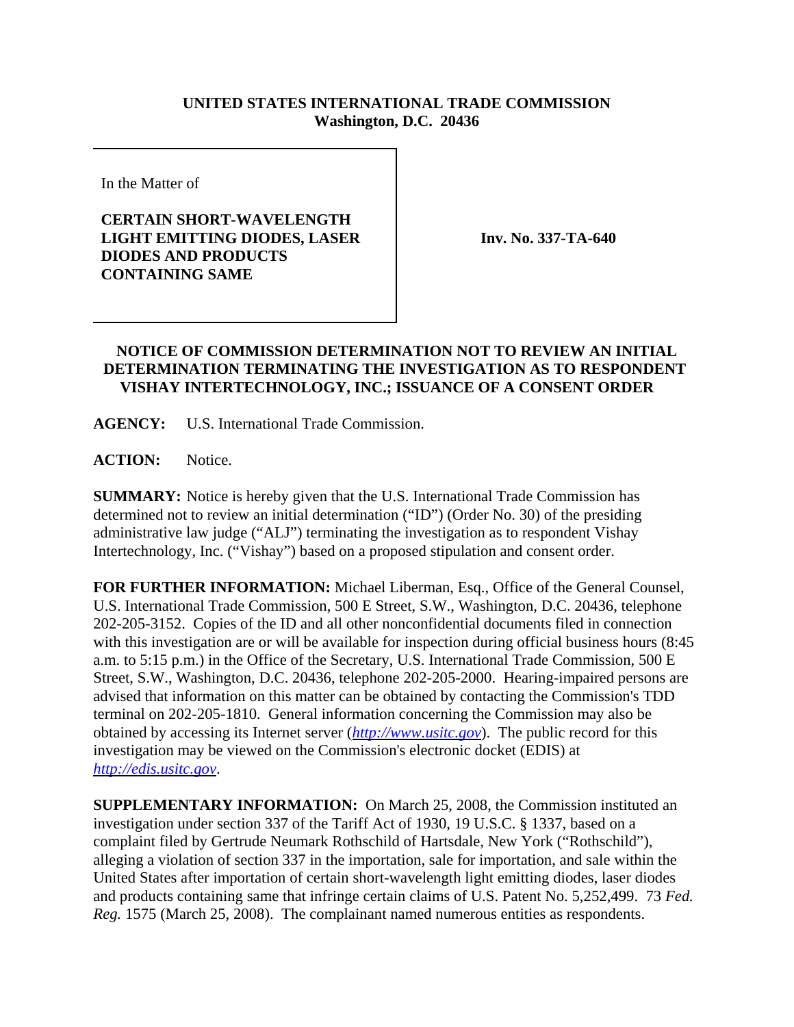## **UNITED STATES INTERNATIONAL TRADE COMMISSION Washington, D.C. 20436**

In the Matter of

## **CERTAIN SHORT-WAVELENGTH LIGHT EMITTING DIODES, LASER DIODES AND PRODUCTS CONTAINING SAME**

**Inv. No. 337-TA-640**

## **NOTICE OF COMMISSION DETERMINATION NOT TO REVIEW AN INITIAL DETERMINATION TERMINATING THE INVESTIGATION AS TO RESPONDENT VISHAY INTERTECHNOLOGY, INC.; ISSUANCE OF A CONSENT ORDER**

**AGENCY:** U.S. International Trade Commission.

**ACTION:** Notice.

**SUMMARY:** Notice is hereby given that the U.S. International Trade Commission has determined not to review an initial determination ("ID") (Order No. 30) of the presiding administrative law judge ("ALJ") terminating the investigation as to respondent Vishay Intertechnology, Inc. ("Vishay") based on a proposed stipulation and consent order.

**FOR FURTHER INFORMATION:** Michael Liberman, Esq., Office of the General Counsel, U.S. International Trade Commission, 500 E Street, S.W., Washington, D.C. 20436, telephone 202-205-3152. Copies of the ID and all other nonconfidential documents filed in connection with this investigation are or will be available for inspection during official business hours (8:45 a.m. to 5:15 p.m.) in the Office of the Secretary, U.S. International Trade Commission, 500 E Street, S.W., Washington, D.C. 20436, telephone 202-205-2000. Hearing-impaired persons are advised that information on this matter can be obtained by contacting the Commission's TDD terminal on 202-205-1810. General information concerning the Commission may also be obtained by accessing its Internet server (*http://www.usitc.gov*). The public record for this investigation may be viewed on the Commission's electronic docket (EDIS) at *http://edis.usitc.gov*.

**SUPPLEMENTARY INFORMATION:** On March 25, 2008, the Commission instituted an investigation under section 337 of the Tariff Act of 1930, 19 U.S.C. § 1337, based on a complaint filed by Gertrude Neumark Rothschild of Hartsdale, New York ("Rothschild"), alleging a violation of section 337 in the importation, sale for importation, and sale within the United States after importation of certain short-wavelength light emitting diodes, laser diodes and products containing same that infringe certain claims of U.S. Patent No. 5,252,499. 73 *Fed. Reg.* 1575 (March 25, 2008). The complainant named numerous entities as respondents.